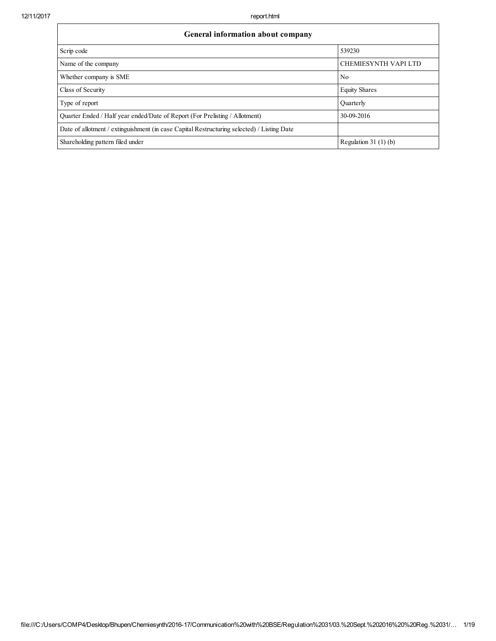٦

| General information about company                                                          |                             |  |  |  |  |  |  |  |
|--------------------------------------------------------------------------------------------|-----------------------------|--|--|--|--|--|--|--|
| Scrip code                                                                                 | 539230                      |  |  |  |  |  |  |  |
| Name of the company                                                                        | <b>CHEMIESYNTH VAPI LTD</b> |  |  |  |  |  |  |  |
| Whether company is SME                                                                     | N <sub>0</sub>              |  |  |  |  |  |  |  |
| Class of Security                                                                          | <b>Equity Shares</b>        |  |  |  |  |  |  |  |
| Type of report                                                                             | Ouarterly                   |  |  |  |  |  |  |  |
| Quarter Ended / Half year ended/Date of Report (For Prelisting / Allotment)                | 30-09-2016                  |  |  |  |  |  |  |  |
| Date of allotment / extinguishment (in case Capital Restructuring selected) / Listing Date |                             |  |  |  |  |  |  |  |
| Shareholding pattern filed under                                                           | Regulation 31 $(1)$ $(b)$   |  |  |  |  |  |  |  |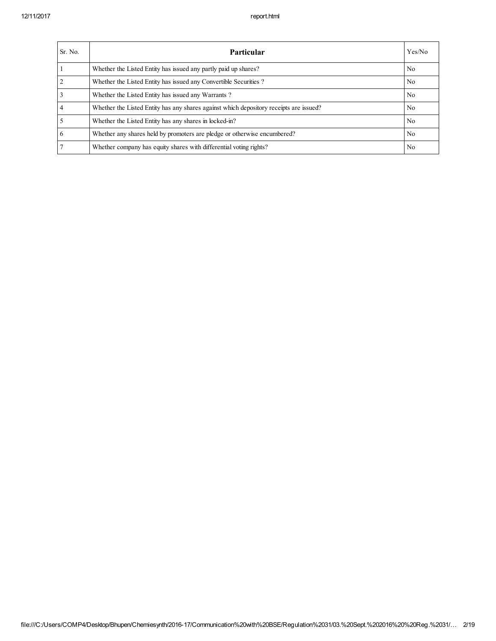| Sr. No.        | <b>Particular</b>                                                                      | Yes/No         |
|----------------|----------------------------------------------------------------------------------------|----------------|
|                | Whether the Listed Entity has issued any partly paid up shares?                        | No.            |
| $\overline{2}$ | Whether the Listed Entity has issued any Convertible Securities?                       | No.            |
| $\overline{3}$ | Whether the Listed Entity has issued any Warrants?                                     | No.            |
| $\overline{4}$ | Whether the Listed Entity has any shares against which depository receipts are issued? | No.            |
| $\overline{5}$ | Whether the Listed Entity has any shares in locked-in?                                 | No.            |
| 6              | Whether any shares held by promoters are pledge or otherwise encumbered?               | N <sub>0</sub> |
| $\overline{7}$ | Whether company has equity shares with differential voting rights?                     | N <sub>0</sub> |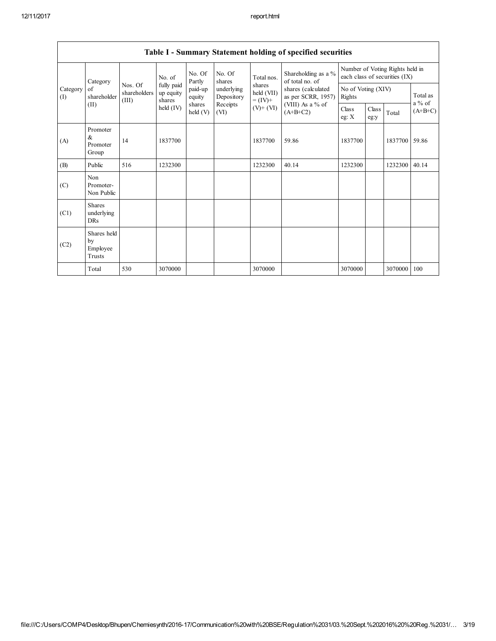|                               | Table 1 - Summary Statement holding of specified securities |                                  |                                   |                      |                          |                                                                    |                                                                                                                      |                                                                  |               |               |                      |
|-------------------------------|-------------------------------------------------------------|----------------------------------|-----------------------------------|----------------------|--------------------------|--------------------------------------------------------------------|----------------------------------------------------------------------------------------------------------------------|------------------------------------------------------------------|---------------|---------------|----------------------|
|                               | Category                                                    |                                  | No. of                            | No. Of<br>Partly     | No. Of<br>shares         | Total nos.<br>shares<br>held (VII)<br>$= (IV) +$<br>$(V)$ + $(VI)$ | Shareholding as a %<br>of total no. of<br>shares (calculated<br>as per SCRR, 1957)<br>(VIII) As a % of<br>$(A+B+C2)$ | Number of Voting Rights held in<br>each class of securities (IX) |               |               |                      |
| Category<br>of<br>(I)<br>(II) | shareholder                                                 | Nos. Of<br>shareholders<br>(III) | fully paid<br>up equity<br>shares | paid-up<br>equity    | underlying<br>Depository |                                                                    |                                                                                                                      | No of Voting (XIV)<br>Rights                                     |               |               | Total as<br>$a\%$ of |
|                               |                                                             |                                  | held (IV)                         | shares<br>held $(V)$ | Receipts<br>(VI)         |                                                                    |                                                                                                                      | Class<br>eg: X                                                   | Class<br>eg:y | Total         | $(A+B+C)$            |
| (A)                           | Promoter<br>$\&$<br>Promoter<br>Group                       | 14                               | 1837700                           |                      |                          | 1837700                                                            | 59.86                                                                                                                | 1837700                                                          |               | 1837700 59.86 |                      |
| (B)                           | Public                                                      | 516                              | 1232300                           |                      |                          | 1232300                                                            | 40.14                                                                                                                | 1232300                                                          |               | 1232300       | 40.14                |
| (C)                           | Non<br>Promoter-<br>Non Public                              |                                  |                                   |                      |                          |                                                                    |                                                                                                                      |                                                                  |               |               |                      |
| (C1)                          | <b>Shares</b><br>underlying<br>DRs                          |                                  |                                   |                      |                          |                                                                    |                                                                                                                      |                                                                  |               |               |                      |
| (C2)                          | Shares held<br>by<br>Employee<br>Trusts                     |                                  |                                   |                      |                          |                                                                    |                                                                                                                      |                                                                  |               |               |                      |
|                               | Total                                                       | 530                              | 3070000                           |                      |                          | 3070000                                                            |                                                                                                                      | 3070000                                                          |               | 3070000       | 100                  |

## Table I - Summary Statement holding of specified securities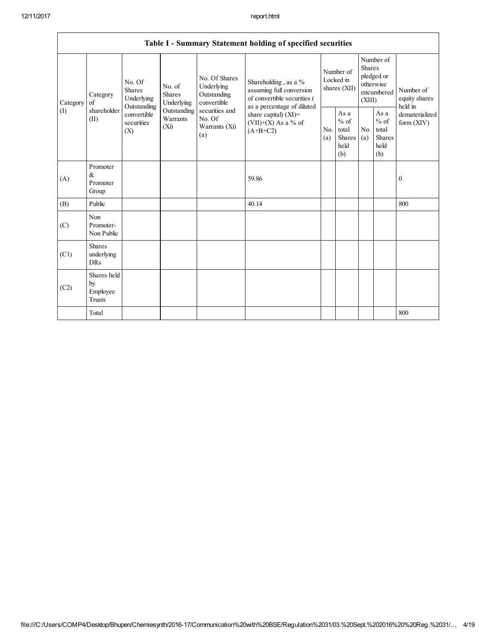|          | Table I - Summary Statement holding of specified securities |                                                                                                                                                                                                                                                                                |                                                                                            |            |                                                                                   |                                        |                                                         |                                                                               |  |                                                                         |
|----------|-------------------------------------------------------------|--------------------------------------------------------------------------------------------------------------------------------------------------------------------------------------------------------------------------------------------------------------------------------|--------------------------------------------------------------------------------------------|------------|-----------------------------------------------------------------------------------|----------------------------------------|---------------------------------------------------------|-------------------------------------------------------------------------------|--|-------------------------------------------------------------------------|
| Category | Category<br>$\sigma$ f                                      | No. Of Shares<br>No. Of<br>Underlying<br>No. of<br>Shares<br><b>Shares</b><br>Outstanding<br>Underlying<br>Underlying<br>convertible<br>Outstanding<br>securities and<br>Outstanding<br>convertible<br>No. Of<br>Warrants<br>securities<br>(Xi)<br>Warrants (Xi)<br>(X)<br>(a) |                                                                                            |            | Shareholding, as a $%$<br>assuming full conversion<br>of convertible securities ( | Number of<br>Locked in<br>shares (XII) |                                                         | Number of<br><b>Shares</b><br>pledged or<br>otherwise<br>encumbered<br>(XIII) |  | Number of<br>equity shares<br>held in<br>dematerialized<br>form $(XIV)$ |
| (I)      | shareholder<br>(II)                                         |                                                                                                                                                                                                                                                                                | as a percentage of diluted<br>share capital) $(XI)$ =<br>(VII)+(X) As a % of<br>$(A+B+C2)$ | No.<br>(a) | As $\mathbf{a}$<br>$%$ of<br>total<br><b>Shares</b><br>held<br>(b)                | N <sub>0</sub><br>(a)                  | As a<br>$%$ of<br>total<br><b>Shares</b><br>held<br>(b) |                                                                               |  |                                                                         |
| (A)      | Promoter<br>$\&$<br>Promoter<br>Group                       |                                                                                                                                                                                                                                                                                |                                                                                            |            | 59.86                                                                             |                                        |                                                         |                                                                               |  | $\mathbf{0}$                                                            |
| (B)      | Public                                                      |                                                                                                                                                                                                                                                                                |                                                                                            |            | 40.14                                                                             |                                        |                                                         |                                                                               |  | 800                                                                     |
| (C)      | Non<br>Promoter-<br>Non Public                              |                                                                                                                                                                                                                                                                                |                                                                                            |            |                                                                                   |                                        |                                                         |                                                                               |  |                                                                         |
| (C1)     | <b>Shares</b><br>underlying<br><b>DRs</b>                   |                                                                                                                                                                                                                                                                                |                                                                                            |            |                                                                                   |                                        |                                                         |                                                                               |  |                                                                         |
| (C2)     | Shares held<br>by<br>Employee<br><b>Trusts</b>              |                                                                                                                                                                                                                                                                                |                                                                                            |            |                                                                                   |                                        |                                                         |                                                                               |  |                                                                         |
|          | Total                                                       |                                                                                                                                                                                                                                                                                |                                                                                            |            |                                                                                   |                                        |                                                         |                                                                               |  | 800                                                                     |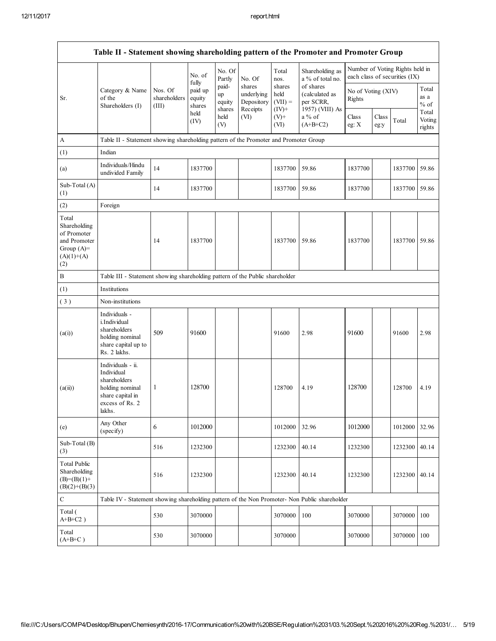|                                                                                             | Table II - Statement showing shareholding pattern of the Promoter and Promoter Group                                |                                                                              |                             |                                 |                                                |                                         |                                                             |                              |               |                                                                  |                           |
|---------------------------------------------------------------------------------------------|---------------------------------------------------------------------------------------------------------------------|------------------------------------------------------------------------------|-----------------------------|---------------------------------|------------------------------------------------|-----------------------------------------|-------------------------------------------------------------|------------------------------|---------------|------------------------------------------------------------------|---------------------------|
|                                                                                             |                                                                                                                     |                                                                              | No. of<br>fully             | No. Of<br>Partly                | No. Of                                         | Total<br>nos.                           | Shareholding as<br>a % of total no.                         |                              |               | Number of Voting Rights held in<br>each class of securities (IX) |                           |
| Sr.                                                                                         | Category & Name<br>of the<br>Shareholders (I)                                                                       | Nos. Of<br>shareholders<br>(III)                                             | paid up<br>equity<br>shares | paid-<br>up<br>equity<br>shares | shares<br>underlying<br>Depository<br>Receipts | shares<br>held<br>$(VII) =$<br>$(IV)^+$ | of shares<br>(calculated as<br>per SCRR,<br>1957) (VIII) As | No of Voting (XIV)<br>Rights |               |                                                                  | Total<br>as a<br>$%$ of   |
|                                                                                             |                                                                                                                     |                                                                              | held<br>(IV)                | held<br>(V)                     | (VI)                                           | $(V)+$<br>(VI)                          | $a\%$ of<br>$(A+B+C2)$                                      | Class<br>eg: $X$             | Class<br>eg:y | Total                                                            | Total<br>Voting<br>rights |
| $\mathbf{A}$                                                                                | Table II - Statement showing shareholding pattern of the Promoter and Promoter Group                                |                                                                              |                             |                                 |                                                |                                         |                                                             |                              |               |                                                                  |                           |
| (1)                                                                                         | Indian                                                                                                              |                                                                              |                             |                                 |                                                |                                         |                                                             |                              |               |                                                                  |                           |
| (a)                                                                                         | Individuals/Hindu<br>undivided Family                                                                               | 14                                                                           | 1837700                     |                                 |                                                | 1837700                                 | 59.86                                                       | 1837700                      |               | 1837700                                                          | 59.86                     |
| Sub-Total (A)<br>(1)                                                                        |                                                                                                                     | 14                                                                           | 1837700                     |                                 |                                                | 1837700                                 | 59.86                                                       | 1837700                      |               | 1837700                                                          | 59.86                     |
| (2)                                                                                         | Foreign                                                                                                             |                                                                              |                             |                                 |                                                |                                         |                                                             |                              |               |                                                                  |                           |
| Total<br>Shareholding<br>of Promoter<br>and Promoter<br>Group $(A)=$<br>$(A)(1)+(A)$<br>(2) |                                                                                                                     | 14                                                                           | 1837700                     |                                 |                                                | 1837700                                 | 59.86                                                       | 1837700                      |               | 1837700                                                          | 59.86                     |
| $\, {\bf B}$                                                                                |                                                                                                                     | Table III - Statement showing shareholding pattern of the Public shareholder |                             |                                 |                                                |                                         |                                                             |                              |               |                                                                  |                           |
| (1)                                                                                         | Institutions                                                                                                        |                                                                              |                             |                                 |                                                |                                         |                                                             |                              |               |                                                                  |                           |
| (3)                                                                                         | Non-institutions                                                                                                    |                                                                              |                             |                                 |                                                |                                         |                                                             |                              |               |                                                                  |                           |
| (a(i))                                                                                      | Individuals -<br>i.Individual<br>shareholders<br>holding nominal<br>share capital up to<br>Rs. 2 lakhs.             | 509                                                                          | 91600                       |                                 |                                                | 91600                                   | 2.98                                                        | 91600                        |               | 91600                                                            | 2.98                      |
| (a(ii))                                                                                     | Individuals - ii.<br>Individual<br>shareholders<br>holding nominal<br>share capital in<br>excess of Rs. 2<br>lakhs. | 1                                                                            | 128700                      |                                 |                                                | 128700                                  | 4.19                                                        | 128700                       |               | 128700                                                           | 4.19                      |
| (e)                                                                                         | Any Other<br>(specify)                                                                                              | 6                                                                            | 1012000                     |                                 |                                                | 1012000                                 | 32.96                                                       | 1012000                      |               | 1012000                                                          | 32.96                     |
| Sub-Total (B)<br>(3)                                                                        |                                                                                                                     | 516                                                                          | 1232300                     |                                 |                                                | 1232300                                 | 40.14                                                       | 1232300                      |               | 1232300                                                          | 40.14                     |
| <b>Total Public</b><br>Shareholding<br>$(B)=(B)(1)+$<br>$(B)(2)+(B)(3)$                     |                                                                                                                     | 516                                                                          | 1232300                     |                                 |                                                | 1232300                                 | 40.14                                                       | 1232300                      |               | 1232300                                                          | 40.14                     |
| $\mathbf C$                                                                                 | Table IV - Statement showing shareholding pattern of the Non Promoter- Non Public shareholder                       |                                                                              |                             |                                 |                                                |                                         |                                                             |                              |               |                                                                  |                           |
| Total (<br>$A+B+C2$ )                                                                       |                                                                                                                     | 530                                                                          | 3070000                     |                                 |                                                | 3070000                                 | 100                                                         | 3070000                      |               | 3070000                                                          | 100                       |
| Total<br>$(A+B+C)$                                                                          |                                                                                                                     | 530                                                                          | 3070000                     |                                 |                                                | 3070000                                 |                                                             | 3070000                      |               | 3070000                                                          | 100                       |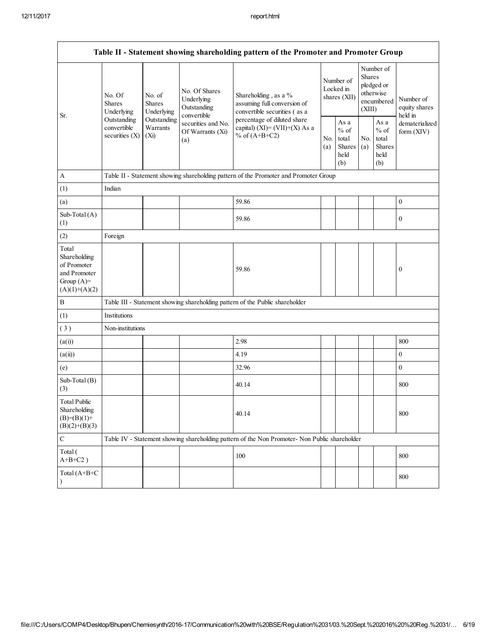|                                                                                         | Table II - Statement showing shareholding pattern of the Promoter and Promoter Group    |                                                                                     |                                                           |                                                                                               |                                        |                                                  |                                                                               |                                                  |                                       |
|-----------------------------------------------------------------------------------------|-----------------------------------------------------------------------------------------|-------------------------------------------------------------------------------------|-----------------------------------------------------------|-----------------------------------------------------------------------------------------------|----------------------------------------|--------------------------------------------------|-------------------------------------------------------------------------------|--------------------------------------------------|---------------------------------------|
| Sr.                                                                                     | No. Of<br><b>Shares</b><br>Underlying<br>Outstanding<br>convertible<br>securities $(X)$ | No. of<br><b>Shares</b><br>Underlying                                               | No. Of Shares<br>Underlying<br>Outstanding<br>convertible | Shareholding, as a %<br>assuming full conversion of<br>convertible securities (as a           | Number of<br>Locked in<br>shares (XII) |                                                  | Number of<br><b>Shares</b><br>pledged or<br>otherwise<br>encumbered<br>(XIII) |                                                  | Number of<br>equity shares<br>held in |
|                                                                                         |                                                                                         | Outstanding<br>securities and No.<br>Warrants<br>Of Warrants (Xi)<br>$(X_i)$<br>(a) |                                                           | percentage of diluted share<br>capital) $(XI) = (VII)+(X) As a$<br>% of $(A+B+C2)$            | No.<br>(a)                             | As a<br>$%$ of<br>total<br>Shares<br>held<br>(b) | No.<br>(a)                                                                    | As a<br>$%$ of<br>total<br>Shares<br>held<br>(b) | dematerialized<br>form (XIV)          |
| $\mathbf{A}$                                                                            |                                                                                         |                                                                                     |                                                           | Table II - Statement showing shareholding pattern of the Promoter and Promoter Group          |                                        |                                                  |                                                                               |                                                  |                                       |
| (1)                                                                                     | Indian                                                                                  |                                                                                     |                                                           |                                                                                               |                                        |                                                  |                                                                               |                                                  |                                       |
| (a)                                                                                     |                                                                                         |                                                                                     |                                                           | 59.86                                                                                         |                                        |                                                  |                                                                               |                                                  | $\boldsymbol{0}$                      |
| Sub-Total (A)<br>(1)                                                                    |                                                                                         |                                                                                     |                                                           | 59.86                                                                                         |                                        |                                                  |                                                                               |                                                  | $\boldsymbol{0}$                      |
| (2)                                                                                     | Foreign                                                                                 |                                                                                     |                                                           |                                                                                               |                                        |                                                  |                                                                               |                                                  |                                       |
| Total<br>Shareholding<br>of Promoter<br>and Promoter<br>Group $(A)=$<br>$(A)(1)+(A)(2)$ |                                                                                         |                                                                                     |                                                           | 59.86                                                                                         |                                        |                                                  |                                                                               |                                                  | $\boldsymbol{0}$                      |
| $\, {\bf B}$                                                                            |                                                                                         |                                                                                     |                                                           | Table III - Statement showing shareholding pattern of the Public shareholder                  |                                        |                                                  |                                                                               |                                                  |                                       |
| (1)                                                                                     | Institutions                                                                            |                                                                                     |                                                           |                                                                                               |                                        |                                                  |                                                                               |                                                  |                                       |
| (3)                                                                                     | Non-institutions                                                                        |                                                                                     |                                                           |                                                                                               |                                        |                                                  |                                                                               |                                                  |                                       |
| (a(i))                                                                                  |                                                                                         |                                                                                     |                                                           | 2.98                                                                                          |                                        |                                                  |                                                                               |                                                  | 800                                   |
| (a(ii))                                                                                 |                                                                                         |                                                                                     |                                                           | 4.19                                                                                          |                                        |                                                  |                                                                               |                                                  | $\boldsymbol{0}$                      |
| (e)                                                                                     |                                                                                         |                                                                                     |                                                           | 32.96                                                                                         |                                        |                                                  |                                                                               |                                                  | $\boldsymbol{0}$                      |
| Sub-Total (B)<br>(3)                                                                    |                                                                                         |                                                                                     |                                                           | 40.14                                                                                         |                                        |                                                  |                                                                               |                                                  | 800                                   |
| <b>Total Public</b><br>Shareholding<br>$(B)=(B)(1)+$<br>$(B)(2)+(B)(3)$                 |                                                                                         |                                                                                     |                                                           | 40.14                                                                                         |                                        |                                                  |                                                                               |                                                  | 800                                   |
| $\mathbf C$                                                                             |                                                                                         |                                                                                     |                                                           | Table IV - Statement showing shareholding pattern of the Non Promoter- Non Public shareholder |                                        |                                                  |                                                                               |                                                  |                                       |
| Total (<br>$A+B+C2$ )                                                                   |                                                                                         |                                                                                     |                                                           | 100                                                                                           |                                        |                                                  |                                                                               |                                                  | 800                                   |
| Total (A+B+C                                                                            |                                                                                         |                                                                                     |                                                           |                                                                                               |                                        |                                                  |                                                                               |                                                  | 800                                   |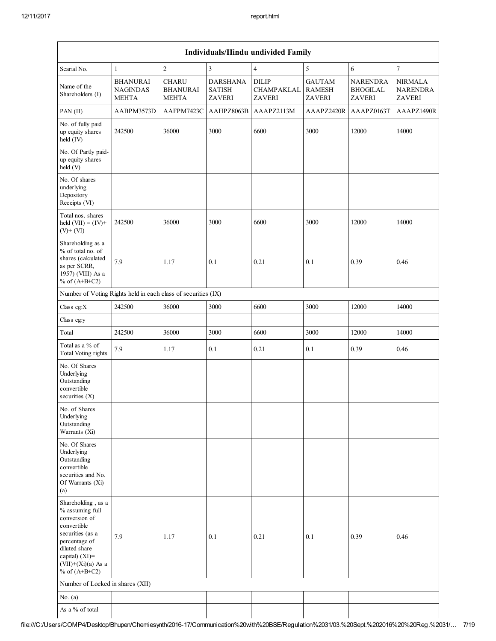|                                                                                                                                                                                          | Individuals/Hindu undivided Family                 |                                                 |                                                   |                                             |                                                 |                                                     |                                                    |  |
|------------------------------------------------------------------------------------------------------------------------------------------------------------------------------------------|----------------------------------------------------|-------------------------------------------------|---------------------------------------------------|---------------------------------------------|-------------------------------------------------|-----------------------------------------------------|----------------------------------------------------|--|
| Searial No.                                                                                                                                                                              | $\mathbf{1}$                                       | $\overline{c}$                                  | $\overline{3}$                                    | $\overline{4}$                              | 5                                               | 6                                                   | $\overline{\mathcal{I}}$                           |  |
| Name of the<br>Shareholders (I)                                                                                                                                                          | <b>BHANURAI</b><br><b>NAGINDAS</b><br><b>MEHTA</b> | <b>CHARU</b><br><b>BHANURAI</b><br><b>MEHTA</b> | <b>DARSHANA</b><br><b>SATISH</b><br><b>ZAVERI</b> | <b>DILIP</b><br>CHAMPAKLAL<br><b>ZAVERI</b> | <b>GAUTAM</b><br><b>RAMESH</b><br><b>ZAVERI</b> | <b>NARENDRA</b><br><b>BHOGILAL</b><br><b>ZAVERI</b> | <b>NIRMALA</b><br><b>NARENDRA</b><br><b>ZAVERI</b> |  |
| PAN (II)                                                                                                                                                                                 | AABPM3573D                                         | AAFPM7423C                                      | AAHPZ8063B                                        | AAAPZ2113M                                  | AAAPZ2420R                                      | AAAPZ0163T                                          | AAAPZ1490R                                         |  |
| No. of fully paid<br>up equity shares<br>held (IV)                                                                                                                                       | 242500                                             | 36000                                           | 3000                                              | 6600                                        | 3000                                            | 12000                                               | 14000                                              |  |
| No. Of Partly paid-<br>up equity shares<br>held (V)                                                                                                                                      |                                                    |                                                 |                                                   |                                             |                                                 |                                                     |                                                    |  |
| No. Of shares<br>underlying<br>Depository<br>Receipts (VI)                                                                                                                               |                                                    |                                                 |                                                   |                                             |                                                 |                                                     |                                                    |  |
| Total nos. shares<br>held $(VII) = (IV) +$<br>$(V)$ + $(VI)$                                                                                                                             | 242500                                             | 36000                                           | 3000                                              | 6600                                        | 3000                                            | 12000                                               | 14000                                              |  |
| Shareholding as a<br>% of total no. of<br>shares (calculated<br>as per SCRR,<br>1957) (VIII) As a<br>% of $(A+B+C2)$                                                                     | 7.9                                                | 1.17                                            | 0.1                                               | 0.21                                        | 0.1                                             | 0.39                                                | 0.46                                               |  |
| Number of Voting Rights held in each class of securities (IX)                                                                                                                            |                                                    |                                                 |                                                   |                                             |                                                 |                                                     |                                                    |  |
| Class eg:X                                                                                                                                                                               | 242500                                             | 36000                                           | 3000                                              | 6600                                        | 3000                                            | 12000                                               | 14000                                              |  |
| Class eg:y                                                                                                                                                                               |                                                    |                                                 |                                                   |                                             |                                                 |                                                     |                                                    |  |
| Total                                                                                                                                                                                    | 242500                                             | 36000                                           | 3000                                              | 6600                                        | 3000                                            | 12000                                               | 14000                                              |  |
| Total as a % of<br><b>Total Voting rights</b>                                                                                                                                            | 7.9                                                | 1.17                                            | 0.1                                               | 0.21                                        | 0.1                                             | 0.39                                                | 0.46                                               |  |
| No. Of Shares<br>Underlying<br>Outstanding<br>convertible<br>securities $(X)$                                                                                                            |                                                    |                                                 |                                                   |                                             |                                                 |                                                     |                                                    |  |
| No. of Shares<br>Underlying<br>Outstanding<br>Warrants (Xi)                                                                                                                              |                                                    |                                                 |                                                   |                                             |                                                 |                                                     |                                                    |  |
| No. Of Shares<br>Underlying<br>Outstanding<br>convertible<br>securities and No.<br>Of Warrants (Xi)<br>(a)                                                                               |                                                    |                                                 |                                                   |                                             |                                                 |                                                     |                                                    |  |
| Shareholding, as a<br>% assuming full<br>conversion of<br>convertible<br>securities (as a<br>percentage of<br>diluted share<br>capital) (XI)=<br>$(VII)+(Xi)(a)$ As a<br>% of $(A+B+C2)$ | 7.9                                                | 1.17                                            | 0.1                                               | 0.21                                        | 0.1                                             | 0.39                                                | 0.46                                               |  |
| Number of Locked in shares (XII)                                                                                                                                                         |                                                    |                                                 |                                                   |                                             |                                                 |                                                     |                                                    |  |
| No. $(a)$                                                                                                                                                                                |                                                    |                                                 |                                                   |                                             |                                                 |                                                     |                                                    |  |
| As a % of total                                                                                                                                                                          |                                                    |                                                 |                                                   |                                             |                                                 |                                                     |                                                    |  |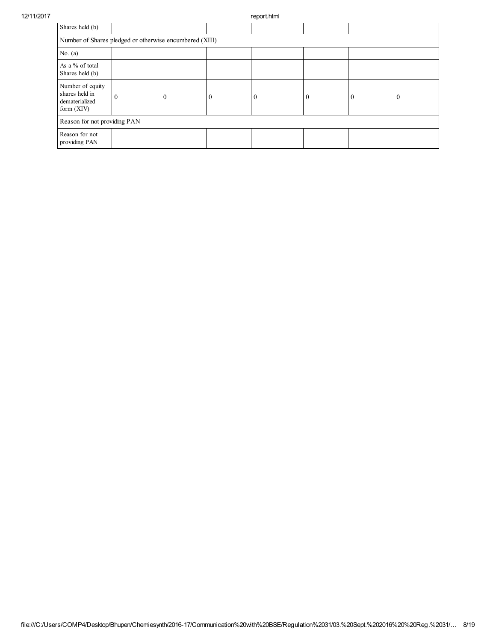12/11/2017 report.html

| Shares held (b)                                                      |              |          |   |  |   |          |                |  |
|----------------------------------------------------------------------|--------------|----------|---|--|---|----------|----------------|--|
| Number of Shares pledged or otherwise encumbered (XIII)              |              |          |   |  |   |          |                |  |
| No. $(a)$                                                            |              |          |   |  |   |          |                |  |
| As a % of total<br>Shares held (b)                                   |              |          |   |  |   |          |                |  |
| Number of equity<br>shares held in<br>dematerialized<br>form $(XIV)$ | $\mathbf{0}$ | $\theta$ | U |  | 0 | $\bf{0}$ | $\overline{0}$ |  |
| Reason for not providing PAN                                         |              |          |   |  |   |          |                |  |
| Reason for not<br>providing PAN                                      |              |          |   |  |   |          |                |  |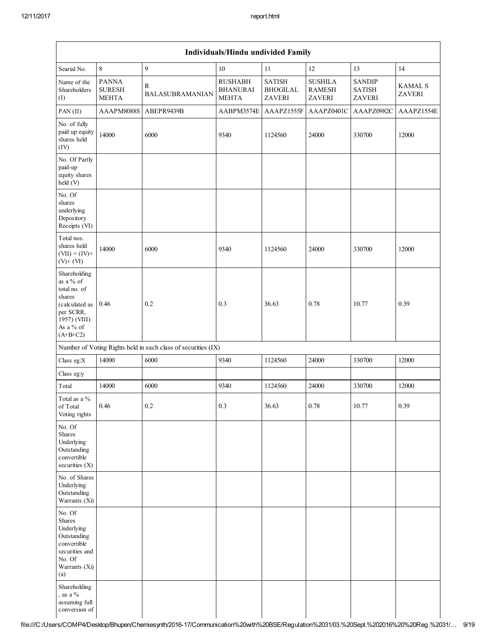| Individuals/Hindu undivided Family                                                                                            |                                               |                                                               |                                                   |                                                   |                                           |                                          |                          |
|-------------------------------------------------------------------------------------------------------------------------------|-----------------------------------------------|---------------------------------------------------------------|---------------------------------------------------|---------------------------------------------------|-------------------------------------------|------------------------------------------|--------------------------|
| Searial No.                                                                                                                   | $\,$ 8 $\,$                                   | 9                                                             | 10                                                | 11                                                | 12                                        | 13                                       | 14                       |
| Name of the<br>Shareholders<br>(1)                                                                                            | <b>PANNA</b><br><b>SURESH</b><br><b>MEHTA</b> | $\mathbb{R}$<br><b>BALASUBRAMANIAN</b>                        | <b>RUSHABH</b><br><b>BHANURAI</b><br><b>MEHTA</b> | <b>SATISH</b><br><b>BHOGILAL</b><br><b>ZAVERI</b> | <b>SUSHILA</b><br><b>RAMESH</b><br>ZAVERI | <b>SANDIP</b><br><b>SATISH</b><br>ZAVERI | <b>KAMAL S</b><br>ZAVERI |
| PAN(II)                                                                                                                       | AAAPM8088S                                    | ABEPR9439B                                                    | AABPM3574E                                        | AAAPZ1555F                                        | AAAPZ0401C                                | AAAPZ0982C                               | AAAPZ1554E               |
| No. of fully<br>paid up equity<br>shares held<br>(IV)                                                                         | 14000                                         | 6000                                                          | 9340                                              | 1124560                                           | 24000                                     | 330700                                   | 12000                    |
| No. Of Partly<br>paid-up<br>equity shares<br>held (V)                                                                         |                                               |                                                               |                                                   |                                                   |                                           |                                          |                          |
| No. Of<br>shares<br>underlying<br>Depository<br>Receipts (VI)                                                                 |                                               |                                                               |                                                   |                                                   |                                           |                                          |                          |
| Total nos.<br>shares held<br>$(VII) = (IV) +$<br>$(V)+(VI)$                                                                   | 14000                                         | 6000                                                          | 9340                                              | 1124560                                           | 24000                                     | 330700                                   | 12000                    |
| Shareholding<br>as a % of<br>total no. of<br>shares<br>(calculated as<br>per SCRR,<br>1957) (VIII)<br>As a % of<br>$(A+B+C2)$ | 0.46                                          | 0.2                                                           | 0.3                                               | 36.63                                             | 0.78                                      | 10.77                                    | 0.39                     |
|                                                                                                                               |                                               | Number of Voting Rights held in each class of securities (IX) |                                                   |                                                   |                                           |                                          |                          |
| Class eg:X                                                                                                                    | 14000                                         | 6000                                                          | 9340                                              | 1124560                                           | 24000                                     | 330700                                   | 12000                    |
| Class eg:y                                                                                                                    |                                               |                                                               |                                                   |                                                   |                                           |                                          |                          |
| Total                                                                                                                         | 14000                                         | 6000                                                          | 9340                                              | 1124560                                           | 24000                                     | 330700                                   | 12000                    |
| Total as a %<br>of Total<br>Voting rights                                                                                     | 0.46                                          | 0.2                                                           | 0.3                                               | 36.63                                             | 0.78                                      | 10.77                                    | 0.39                     |
| No. Of<br>Shares<br>Underlying<br>Outstanding<br>convertible<br>securities (X)                                                |                                               |                                                               |                                                   |                                                   |                                           |                                          |                          |
| No. of Shares<br>Underlying<br>Outstanding<br>Warrants (Xi)                                                                   |                                               |                                                               |                                                   |                                                   |                                           |                                          |                          |
| No. Of<br>Shares<br>Underlying<br>Outstanding<br>convertible<br>securities and<br>No. Of<br>Warrants (Xi)<br>(a)              |                                               |                                                               |                                                   |                                                   |                                           |                                          |                          |
| Shareholding<br>, as a $%$<br>assuming full<br>conversion of                                                                  |                                               |                                                               |                                                   |                                                   |                                           |                                          |                          |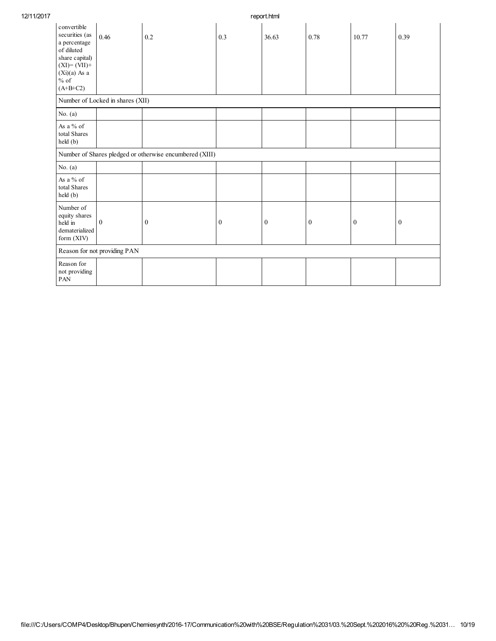| 12/11/2017 |                                                                                                                                          |                                  |                                                         |                  | report.html |                  |                  |                  |  |  |  |
|------------|------------------------------------------------------------------------------------------------------------------------------------------|----------------------------------|---------------------------------------------------------|------------------|-------------|------------------|------------------|------------------|--|--|--|
|            | convertible<br>securities (as<br>a percentage<br>of diluted<br>share capital)<br>$(XI)=(VII)+$<br>$(Xi)(a)$ As a<br>$%$ of<br>$(A+B+C2)$ | 0.46                             | 0.2                                                     | 0.3              | 36.63       | 0.78             | 10.77            | 0.39             |  |  |  |
|            |                                                                                                                                          | Number of Locked in shares (XII) |                                                         |                  |             |                  |                  |                  |  |  |  |
|            | No. $(a)$                                                                                                                                |                                  |                                                         |                  |             |                  |                  |                  |  |  |  |
|            | As a % of<br>total Shares<br>held (b)                                                                                                    |                                  |                                                         |                  |             |                  |                  |                  |  |  |  |
|            |                                                                                                                                          |                                  | Number of Shares pledged or otherwise encumbered (XIII) |                  |             |                  |                  |                  |  |  |  |
|            | No. $(a)$                                                                                                                                |                                  |                                                         |                  |             |                  |                  |                  |  |  |  |
|            | As a % of<br>total Shares<br>held (b)                                                                                                    |                                  |                                                         |                  |             |                  |                  |                  |  |  |  |
|            | Number of<br>equity shares<br>held in<br>dematerialized<br>form (XIV)                                                                    | $\mathbf{0}$                     | $\boldsymbol{0}$                                        | $\boldsymbol{0}$ | $\bf{0}$    | $\boldsymbol{0}$ | $\boldsymbol{0}$ | $\boldsymbol{0}$ |  |  |  |
|            |                                                                                                                                          | Reason for not providing PAN     |                                                         |                  |             |                  |                  |                  |  |  |  |
|            | Reason for<br>not providing<br>PAN                                                                                                       |                                  |                                                         |                  |             |                  |                  |                  |  |  |  |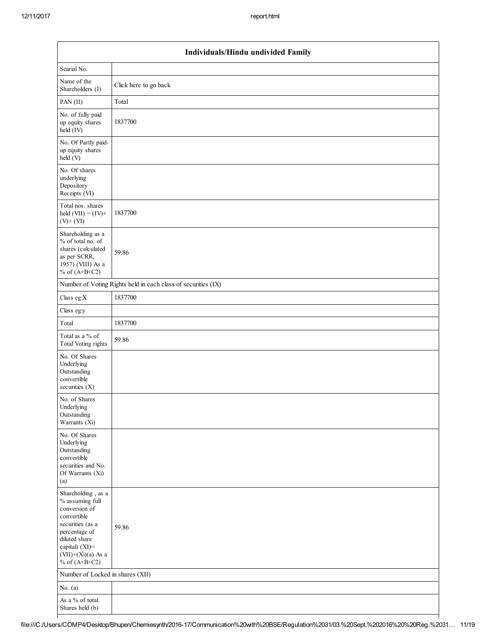| Individuals/Hindu undivided Family                                                                                                                                                       |                                                               |  |  |  |  |  |  |  |
|------------------------------------------------------------------------------------------------------------------------------------------------------------------------------------------|---------------------------------------------------------------|--|--|--|--|--|--|--|
| Searial No.                                                                                                                                                                              |                                                               |  |  |  |  |  |  |  |
| Name of the<br>Shareholders (I)                                                                                                                                                          | Click here to go back                                         |  |  |  |  |  |  |  |
| PAN (II)                                                                                                                                                                                 | Total                                                         |  |  |  |  |  |  |  |
| No. of fully paid<br>up equity shares<br>held (IV)                                                                                                                                       | 1837700                                                       |  |  |  |  |  |  |  |
| No. Of Partly paid-<br>up equity shares<br>held (V)                                                                                                                                      |                                                               |  |  |  |  |  |  |  |
| No. Of shares<br>underlying<br>Depository<br>Receipts (VI)                                                                                                                               |                                                               |  |  |  |  |  |  |  |
| Total nos. shares<br>held $(VII) = (IV) +$<br>$(V)$ + $(VI)$                                                                                                                             | 1837700                                                       |  |  |  |  |  |  |  |
| Shareholding as a<br>% of total no. of<br>shares (calculated<br>as per SCRR,<br>1957) (VIII) As a<br>% of $(A+B+C2)$                                                                     | 59.86                                                         |  |  |  |  |  |  |  |
|                                                                                                                                                                                          | Number of Voting Rights held in each class of securities (IX) |  |  |  |  |  |  |  |
| Class eg: $X$                                                                                                                                                                            | 1837700                                                       |  |  |  |  |  |  |  |
| Class eg:y                                                                                                                                                                               |                                                               |  |  |  |  |  |  |  |
| Total                                                                                                                                                                                    | 1837700                                                       |  |  |  |  |  |  |  |
| Total as a % of<br>Total Voting rights                                                                                                                                                   | 59.86                                                         |  |  |  |  |  |  |  |
| No. Of Shares<br>Underlying<br>Outstanding<br>convertible<br>securities $(X)$                                                                                                            |                                                               |  |  |  |  |  |  |  |
| No. of Shares<br>Underlying<br>Outstanding<br>Warrants (Xi)                                                                                                                              |                                                               |  |  |  |  |  |  |  |
| No. Of Shares<br>Underlying<br>Outstanding<br>convertible<br>securities and No.<br>Of Warrants (Xi)<br>(a)                                                                               |                                                               |  |  |  |  |  |  |  |
| Shareholding, as a<br>% assuming full<br>conversion of<br>convertible<br>securities (as a<br>percentage of<br>diluted share<br>capital) (XI)=<br>$(VII)+(Xi)(a)$ As a<br>% of $(A+B+C2)$ | 59.86                                                         |  |  |  |  |  |  |  |
| Number of Locked in shares (XII)                                                                                                                                                         |                                                               |  |  |  |  |  |  |  |
| No. $(a)$                                                                                                                                                                                |                                                               |  |  |  |  |  |  |  |
| As a % of total<br>Shares held (b)                                                                                                                                                       |                                                               |  |  |  |  |  |  |  |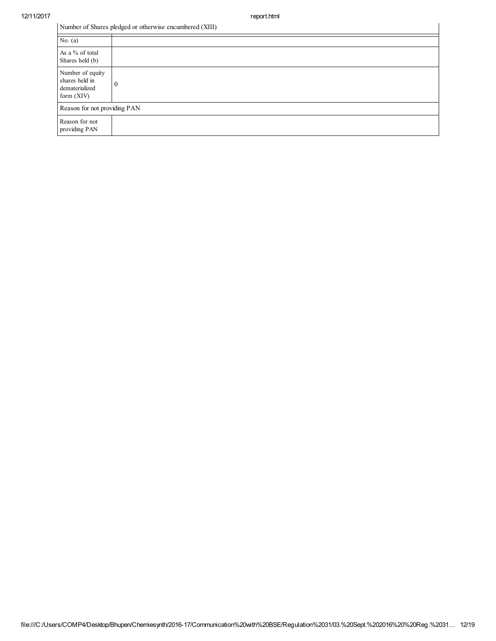$\overline{\mathbf{I}}$ 

|  | Number of Shares pledged or otherwise encumbered (XIII) |
|--|---------------------------------------------------------|
|--|---------------------------------------------------------|

| No. $(a)$                                                            |          |  |
|----------------------------------------------------------------------|----------|--|
| As a % of total<br>Shares held (b)                                   |          |  |
| Number of equity<br>shares held in<br>dematerialized<br>form $(XIV)$ | $\theta$ |  |
| Reason for not providing PAN                                         |          |  |
| Reason for not<br>providing PAN                                      |          |  |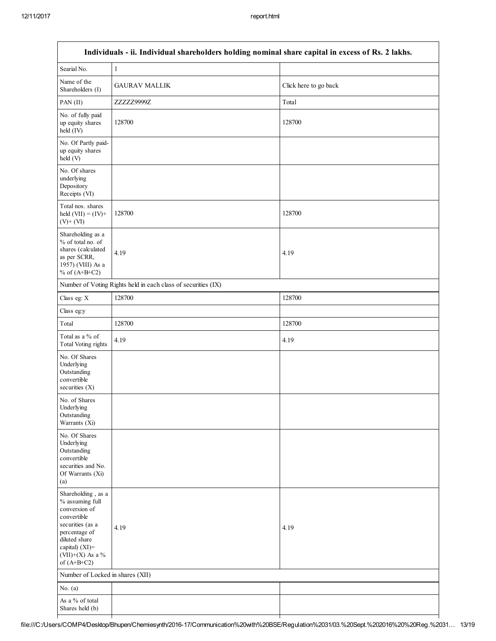| Individuals - ii. Individual shareholders holding nominal share capital in excess of Rs. 2 lakhs.                                                                                  |                                                               |                       |  |  |
|------------------------------------------------------------------------------------------------------------------------------------------------------------------------------------|---------------------------------------------------------------|-----------------------|--|--|
| Searial No.                                                                                                                                                                        | $\mathbf{1}$                                                  |                       |  |  |
| Name of the<br>Shareholders (I)                                                                                                                                                    | <b>GAURAV MALLIK</b>                                          | Click here to go back |  |  |
| PAN (II)                                                                                                                                                                           | ZZZZZ9999Z                                                    | Total                 |  |  |
| No. of fully paid<br>up equity shares<br>$held$ (IV)                                                                                                                               | 128700                                                        | 128700                |  |  |
| No. Of Partly paid-<br>up equity shares<br>held (V)                                                                                                                                |                                                               |                       |  |  |
| No. Of shares<br>underlying<br>Depository<br>Receipts (VI)                                                                                                                         |                                                               |                       |  |  |
| Total nos. shares<br>held $(VII) = (IV) +$<br>$(V)$ + $(VI)$                                                                                                                       | 128700                                                        | 128700                |  |  |
| Shareholding as a<br>% of total no. of<br>shares (calculated<br>as per SCRR,<br>1957) (VIII) As a<br>% of $(A+B+C2)$                                                               | 4.19                                                          | 4.19                  |  |  |
|                                                                                                                                                                                    | Number of Voting Rights held in each class of securities (IX) |                       |  |  |
| Class eg: X                                                                                                                                                                        | 128700                                                        | 128700                |  |  |
| Class eg:y                                                                                                                                                                         |                                                               |                       |  |  |
| Total                                                                                                                                                                              | 128700                                                        | 128700                |  |  |
| Total as a % of<br>Total Voting rights                                                                                                                                             | 4.19                                                          | 4.19                  |  |  |
| No. Of Shares<br>Underlying<br>Outstanding<br>convertible<br>securities $(X)$                                                                                                      |                                                               |                       |  |  |
| No. of Shares<br>Underlying<br>Outstanding<br>Warrants (Xi)                                                                                                                        |                                                               |                       |  |  |
| No. Of Shares<br>Underlying<br>Outstanding<br>convertible<br>securities and No.<br>Of Warrants (Xi)<br>(a)                                                                         |                                                               |                       |  |  |
| Shareholding, as a<br>% assuming full<br>conversion of<br>convertible<br>securities (as a<br>percentage of<br>diluted share<br>capital) (XI)=<br>(VII)+(X) As a %<br>of $(A+B+C2)$ | 4.19                                                          | 4.19                  |  |  |
| Number of Locked in shares (XII)                                                                                                                                                   |                                                               |                       |  |  |
| No. $(a)$                                                                                                                                                                          |                                                               |                       |  |  |
| As a % of total<br>Shares held (b)                                                                                                                                                 |                                                               |                       |  |  |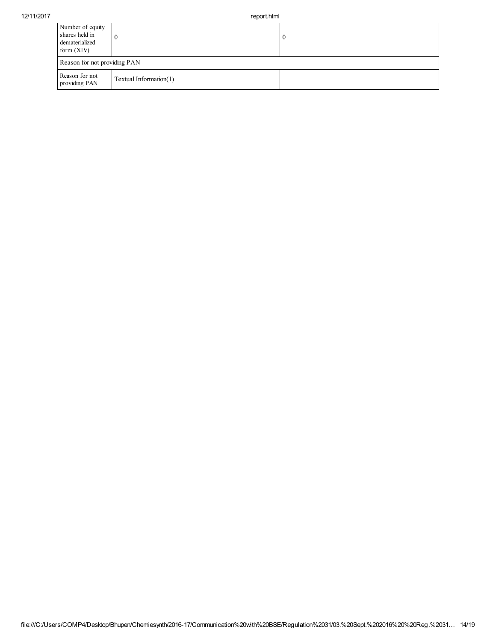| Number of equity<br>shares held in<br>dematerialized<br>form $(XIV)$ |                        | $\boldsymbol{0}$ |
|----------------------------------------------------------------------|------------------------|------------------|
| Reason for not providing PAN                                         |                        |                  |
| Reason for not<br>providing PAN                                      | Textual Information(1) |                  |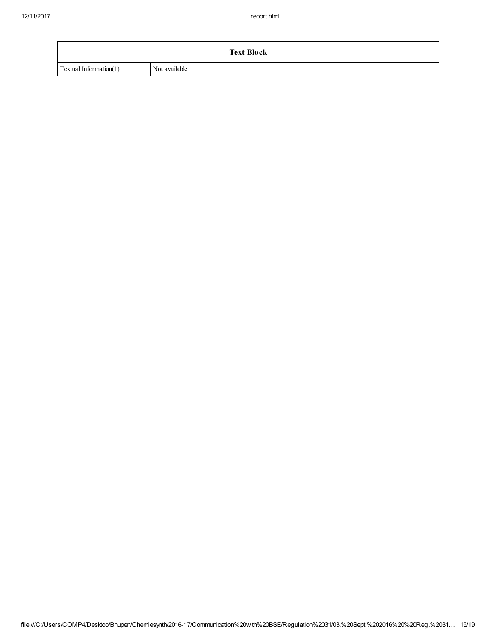|                        | <b>Text Block</b> |
|------------------------|-------------------|
| Textual Information(1) | Not available     |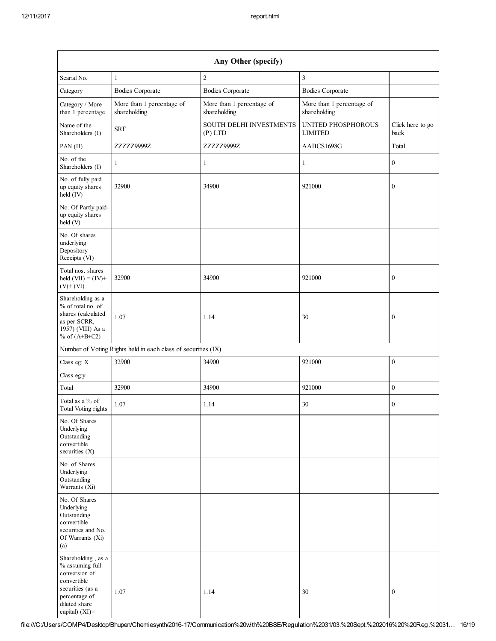| Any Other (specify)                                                                                                                           |                                                               |                                           |                                           |                          |
|-----------------------------------------------------------------------------------------------------------------------------------------------|---------------------------------------------------------------|-------------------------------------------|-------------------------------------------|--------------------------|
| Searial No.                                                                                                                                   | 1                                                             | $\sqrt{2}$                                | $\mathfrak{Z}$                            |                          |
| Category                                                                                                                                      | <b>Bodies Corporate</b>                                       | <b>Bodies Corporate</b>                   | <b>Bodies Corporate</b>                   |                          |
| Category / More<br>than 1 percentage                                                                                                          | More than 1 percentage of<br>shareholding                     | More than 1 percentage of<br>shareholding | More than 1 percentage of<br>shareholding |                          |
| Name of the<br>Shareholders (I)                                                                                                               | <b>SRF</b>                                                    | SOUTH DELHI INVESTMENTS<br>$(P)$ LTD      | UNITED PHOSPHOROUS<br><b>LIMITED</b>      | Click here to go<br>back |
| PAN (II)                                                                                                                                      | ZZZZZ9999Z                                                    | ZZZZZ9999Z                                | AABCS1698G                                | Total                    |
| No. of the<br>Shareholders (I)                                                                                                                | 1                                                             | $\mathbf{1}$                              | 1                                         | $\boldsymbol{0}$         |
| No. of fully paid<br>up equity shares<br>held (IV)                                                                                            | 32900                                                         | 34900                                     | 921000                                    | $\boldsymbol{0}$         |
| No. Of Partly paid-<br>up equity shares<br>held (V)                                                                                           |                                                               |                                           |                                           |                          |
| No. Of shares<br>underlying<br>Depository<br>Receipts (VI)                                                                                    |                                                               |                                           |                                           |                          |
| Total nos. shares<br>held $(VII) = (IV) +$<br>$(V)$ + $(VI)$                                                                                  | 32900                                                         | 34900                                     | 921000                                    | $\boldsymbol{0}$         |
| Shareholding as a<br>% of total no. of<br>shares (calculated<br>as per SCRR,<br>1957) (VIII) As a<br>% of $(A+B+C2)$                          | 1.07                                                          | 1.14                                      | 30                                        | $\boldsymbol{0}$         |
|                                                                                                                                               | Number of Voting Rights held in each class of securities (IX) |                                           |                                           |                          |
| Class eg: X                                                                                                                                   | 32900                                                         | 34900                                     | 921000                                    | $\boldsymbol{0}$         |
| Class eg:y                                                                                                                                    |                                                               |                                           |                                           |                          |
| Total                                                                                                                                         | 32900                                                         | 34900                                     | 921000                                    | $\boldsymbol{0}$         |
| Total as a % of<br>Total Voting rights                                                                                                        | 1.07                                                          | 1.14                                      | 30                                        | $\boldsymbol{0}$         |
| No. Of Shares<br>Underlying<br>Outstanding<br>convertible<br>securities (X)                                                                   |                                                               |                                           |                                           |                          |
| No. of Shares<br>Underlying<br>Outstanding<br>Warrants (Xi)                                                                                   |                                                               |                                           |                                           |                          |
| No. Of Shares<br>Underlying<br>Outstanding<br>convertible<br>securities and No.<br>Of Warrants (Xi)<br>(a)                                    |                                                               |                                           |                                           |                          |
| Shareholding, as a<br>% assuming full<br>conversion of<br>convertible<br>securities (as a<br>percentage of<br>diluted share<br>capital) (XI)= | 1.07                                                          | 1.14                                      | 30                                        | $\boldsymbol{0}$         |

file:///C:/Users/COMP4/Desktop/Bhupen/Chemiesynth/2016-17/Communication%20with%20BSE/Regulation%2031/03.%20Sept.%202016%20%20Reg.%2031… 16/19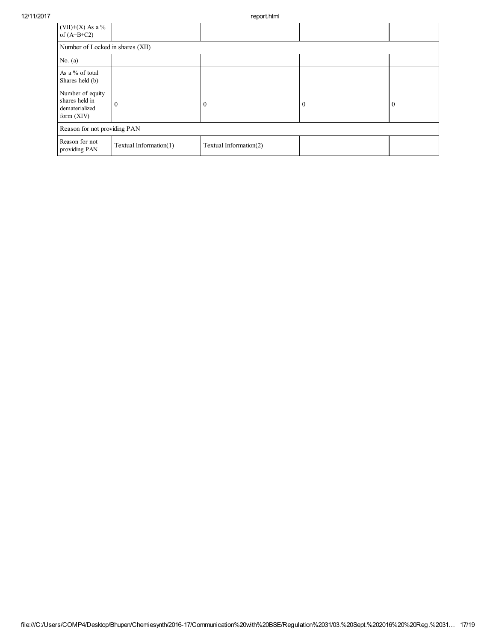| $(VII)+(X)$ As a %<br>of $(A+B+C2)$                                  |                                  |                        |              |              |
|----------------------------------------------------------------------|----------------------------------|------------------------|--------------|--------------|
|                                                                      | Number of Locked in shares (XII) |                        |              |              |
| No. $(a)$                                                            |                                  |                        |              |              |
| As a % of total<br>Shares held (b)                                   |                                  |                        |              |              |
| Number of equity<br>shares held in<br>dematerialized<br>form $(XIV)$ | $\theta$                         | $\theta$               | $\mathbf{0}$ | $\mathbf{0}$ |
| Reason for not providing PAN                                         |                                  |                        |              |              |
| Reason for not<br>providing PAN                                      | Textual Information(1)           | Textual Information(2) |              |              |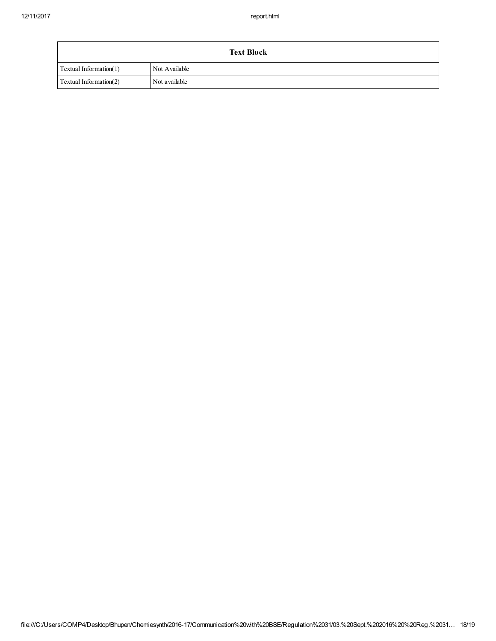| <b>Text Block</b>      |               |  |
|------------------------|---------------|--|
| Textual Information(1) | Not Available |  |
| Textual Information(2) | Not available |  |